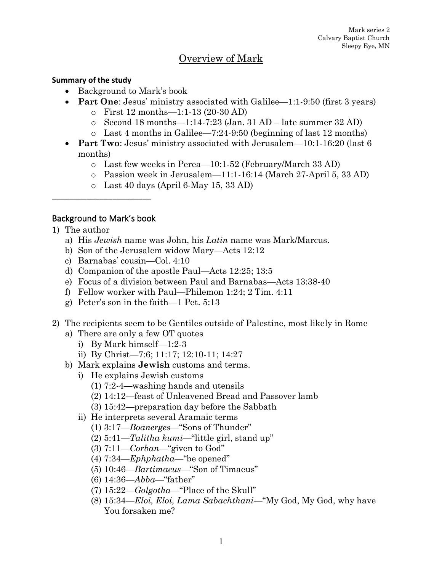# Overview of Mark

#### **Summary of the study**

- Background to Mark's book
- **Part One**: Jesus' ministry associated with Galilee—1:1-9:50 (first 3 years)
	- o First 12 months—1:1-13 (20-30 AD)
	- $\circ$  Second 18 months—1:14-7:23 (Jan. 31 AD late summer 32 AD)
	- o Last 4 months in Galilee—7:24-9:50 (beginning of last 12 months)
- **Part Two**: Jesus' ministry associated with Jerusalem—10:1-16:20 (last 6 months)
	- o Last few weeks in Perea—10:1-52 (February/March 33 AD)
	- o Passion week in Jerusalem—11:1-16:14 (March 27-April 5, 33 AD)
	- o Last 40 days (April 6-May 15, 33 AD)

## Background to Mark's book

\_\_\_\_\_\_\_\_\_\_\_\_\_\_\_\_\_\_\_\_\_\_\_

- 1) The author
	- a) His *Jewish* name was John, his *Latin* name was Mark/Marcus.
	- b) Son of the Jerusalem widow Mary—Acts 12:12
	- c) Barnabas' cousin—Col. 4:10
	- d) Companion of the apostle Paul—Acts 12:25; 13:5
	- e) Focus of a division between Paul and Barnabas—Acts 13:38-40
	- f) Fellow worker with Paul—Philemon 1:24; 2 Tim. 4:11
	- g) Peter's son in the faith—1 Pet. 5:13
- 2) The recipients seem to be Gentiles outside of Palestine, most likely in Rome
	- a) There are only a few OT quotes
		- i) By Mark himself—1:2-3
		- ii) By Christ—7:6; 11:17; 12:10-11; 14:27
	- b) Mark explains **Jewish** customs and terms.
		- i) He explains Jewish customs
			- (1) 7:2-4—washing hands and utensils
			- (2) 14:12—feast of Unleavened Bread and Passover lamb
			- (3) 15:42—preparation day before the Sabbath
		- ii) He interprets several Aramaic terms
			- (1) 3:17—*Boanerges*—"Sons of Thunder"
			- (2) 5:41—*Talitha kumi*—"little girl, stand up"
			- (3) 7:11—*Corban*—"given to God"
			- (4) 7:34—*Ephphatha*—"be opened"
			- (5) 10:46—*Bartimaeus*—"Son of Timaeus"
			- (6) 14:36—*Abba*—"father"
			- (7) 15:22—*Golgotha*—"Place of the Skull"
			- (8) 15:34—*Eloi, Eloi, Lama Sabachthani*—"My God, My God, why have You forsaken me?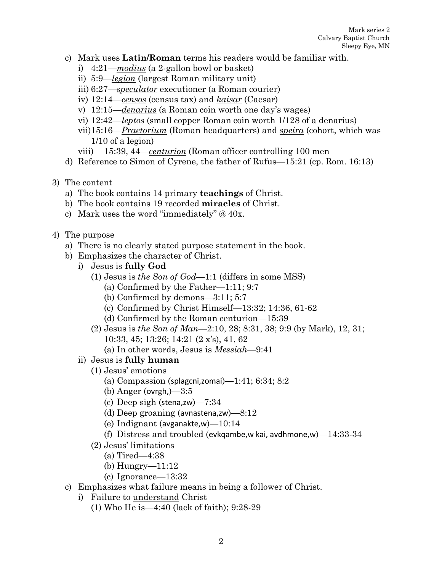- c) Mark uses **Latin/Roman** terms his readers would be familiar with.
	- i) 4:21—*modius* (a 2-gallon bowl or basket)
	- ii) 5:9—*legion* (largest Roman military unit)
	- iii) 6:27—*speculator* executioner (a Roman courier)
	- iv) 12:14—*censos* (census tax) and *kaisar* (Caesar)
	- v) 12:15—*denarius* (a Roman coin worth one day's wages)
	- vi) 12:42—*leptos* (small copper Roman coin worth 1/128 of a denarius)
	- vii)15:16—*Praetorium* (Roman headquarters) and *speira* (cohort, which was 1/10 of a legion)
	- viii) 15:39, 44—*centurion* (Roman officer controlling 100 men
- d) Reference to Simon of Cyrene, the father of Rufus—15:21 (cp. Rom. 16:13)
- 3) The content
	- a) The book contains 14 primary **teachings** of Christ.
	- b) The book contains 19 recorded **miracles** of Christ.
	- c) Mark uses the word "immediately" @ 40x.
- 4) The purpose
	- a) There is no clearly stated purpose statement in the book.
	- b) Emphasizes the character of Christ.
		- i) Jesus is **fully God**
			- (1) Jesus is *the Son of God*—1:1 (differs in some MSS)
				- (a) Confirmed by the Father—1:11; 9:7
				- (b) Confirmed by demons—3:11; 5:7
				- (c) Confirmed by Christ Himself—13:32; 14:36, 61-62
				- (d) Confirmed by the Roman centurion—15:39
			- (2) Jesus is *the Son of Man*—2:10, 28; 8:31, 38; 9:9 (by Mark), 12, 31; 10:33, 45; 13:26; 14:21 (2 x's), 41, 62
				- (a) In other words, Jesus is *Messiah*—9:41
		- ii) Jesus is **fully human**
			- (1) Jesus' emotions
				- (a) Compassion (splagcni,zomai)— $1:41; 6:34; 8:2$
				- (b) Anger (ovrgh, $-3:5$
				- (c) Deep sigh (stena,zw)—7:34
				- (d) Deep groaning (avnastena,zw)—8:12
				- (e) Indignant (avganakte,w)—10:14
				- (f) Distress and troubled (evkgambe, w kai, avdhmone, w)  $-14:33-34$
			- (2) Jesus' limitations
				- (a) Tired—4:38
				- (b) Hungry—11:12
				- (c) Ignorance—13:32
	- c) Emphasizes what failure means in being a follower of Christ.
		- i) Failure to understand Christ
			- (1) Who He is—4:40 (lack of faith); 9:28-29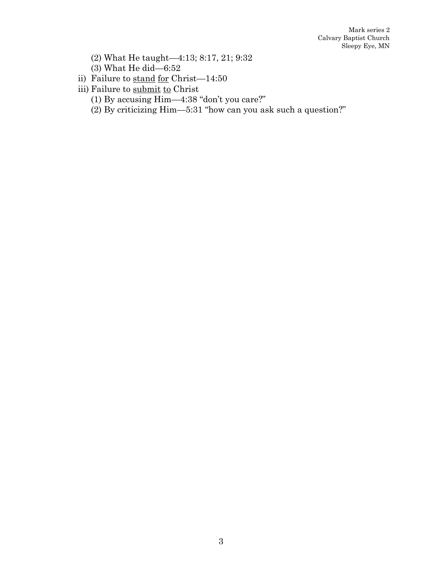- (2) What He taught—4:13; 8:17, 21; 9:32
- (3) What He did—6:52
- ii) Failure to stand for Christ—14:50
- iii) Failure to submit to Christ
	- (1) By accusing Him—4:38 "don't you care?"
	- (2) By criticizing Him—5:31 "how can you ask such a question?"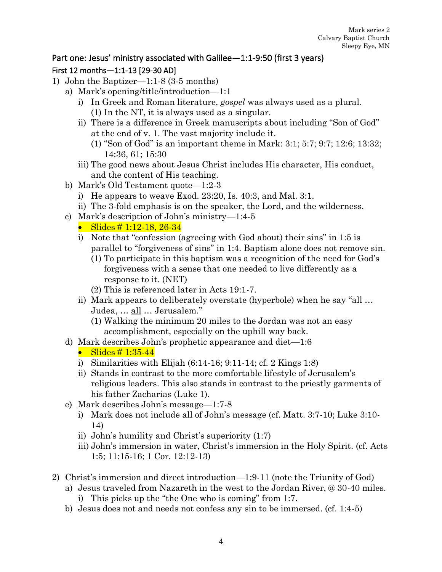## Part one: Jesus' ministry associated with Galilee—1:1-9:50 (first 3 years) First 12 months—1:1-13 [29-30 AD]

- 1) John the Baptizer—1:1-8 (3-5 months)
	- a) Mark's opening/title/introduction—1:1
		- i) In Greek and Roman literature, *gospel* was always used as a plural. (1) In the NT, it is always used as a singular.
		- ii) There is a difference in Greek manuscripts about including "Son of God" at the end of v. 1. The vast majority include it.
			- (1) "Son of God" is an important theme in Mark: 3:1; 5:7; 9:7; 12:6; 13:32; 14:36, 61; 15:30
		- iii) The good news about Jesus Christ includes His character, His conduct, and the content of His teaching.
	- b) Mark's Old Testament quote—1:2-3
		- i) He appears to weave Exod. 23:20, Is. 40:3, and Mal. 3:1.
		- ii) The 3-fold emphasis is on the speaker, the Lord, and the wilderness.
	- c) Mark's description of John's ministry—1:4-5

• Slides  $\# 1:12-18, 26-34$ 

- i) Note that "confession (agreeing with God about) their sins" in 1:5 is parallel to "forgiveness of sins" in 1:4. Baptism alone does not remove sin.
	- (1) To participate in this baptism was a recognition of the need for God's forgiveness with a sense that one needed to live differently as a response to it. (NET)
	- (2) This is referenced later in Acts 19:1-7.
- ii) Mark appears to deliberately overstate (hyperbole) when he say "all … Judea, … all … Jerusalem."
	- (1) Walking the minimum 20 miles to the Jordan was not an easy accomplishment, especially on the uphill way back.
- d) Mark describes John's prophetic appearance and diet—1:6
	- Slides  $\# 1:35-44$
	- i) Similarities with Elijah (6:14-16; 9:11-14; cf. 2 Kings 1:8)
	- ii) Stands in contrast to the more comfortable lifestyle of Jerusalem's religious leaders. This also stands in contrast to the priestly garments of his father Zacharias (Luke 1).
- e) Mark describes John's message—1:7-8
	- i) Mark does not include all of John's message (cf. Matt. 3:7-10; Luke 3:10- 14)
	- ii) John's humility and Christ's superiority (1:7)
	- iii) John's immersion in water, Christ's immersion in the Holy Spirit. (cf. Acts 1:5; 11:15-16; 1 Cor. 12:12-13)
- 2) Christ's immersion and direct introduction—1:9-11 (note the Triunity of God)
	- a) Jesus traveled from Nazareth in the west to the Jordan River, @ 30-40 miles. i) This picks up the "the One who is coming" from 1:7.
	- b) Jesus does not and needs not confess any sin to be immersed. (cf. 1:4-5)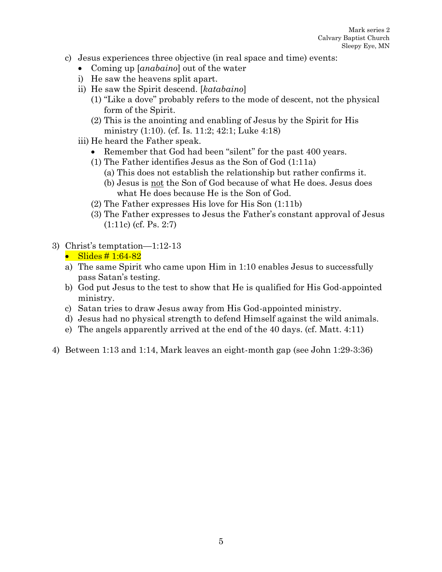- c) Jesus experiences three objective (in real space and time) events:
	- Coming up [*anabaino*] out of the water
	- i) He saw the heavens split apart.
	- ii) He saw the Spirit descend. [*katabaino*]
		- (1) "Like a dove" probably refers to the mode of descent, not the physical form of the Spirit.
		- (2) This is the anointing and enabling of Jesus by the Spirit for His ministry (1:10). (cf. Is. 11:2; 42:1; Luke 4:18)
	- iii) He heard the Father speak.
		- Remember that God had been "silent" for the past 400 years.
		- (1) The Father identifies Jesus as the Son of God (1:11a)
			- (a) This does not establish the relationship but rather confirms it. (b) Jesus is not the Son of God because of what He does. Jesus does what He does because He is the Son of God.
		- (2) The Father expresses His love for His Son (1:11b)
		- (3) The Father expresses to Jesus the Father's constant approval of Jesus (1:11c) (cf. Ps. 2:7)
- 3) Christ's temptation—1:12-13 • Slides  $\#$  1:64-82
	- a) The same Spirit who came upon Him in 1:10 enables Jesus to successfully pass Satan's testing.
	- b) God put Jesus to the test to show that He is qualified for His God-appointed ministry.
	- c) Satan tries to draw Jesus away from His God-appointed ministry.
	- d) Jesus had no physical strength to defend Himself against the wild animals.
	- e) The angels apparently arrived at the end of the 40 days. (cf. Matt. 4:11)
- 4) Between 1:13 and 1:14, Mark leaves an eight-month gap (see John 1:29-3:36)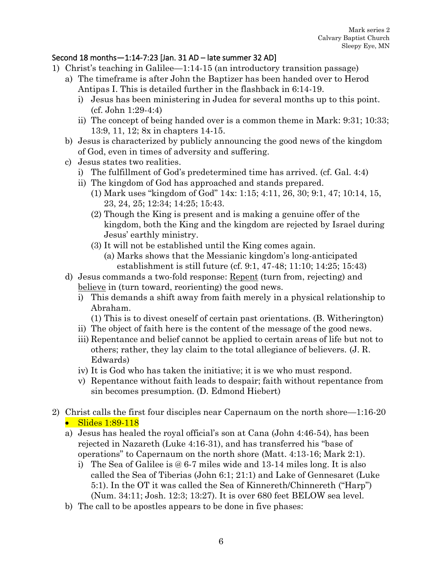#### Second 18 months—1:14-7:23 [Jan. 31 AD – late summer 32 AD]

- 1) Christ's teaching in Galilee—1:14-15 (an introductory transition passage)
	- a) The timeframe is after John the Baptizer has been handed over to Herod Antipas I. This is detailed further in the flashback in 6:14-19.
		- i) Jesus has been ministering in Judea for several months up to this point. (cf. John 1:29-4:4)
		- ii) The concept of being handed over is a common theme in Mark: 9:31; 10:33; 13:9, 11, 12; 8x in chapters 14-15.
	- b) Jesus is characterized by publicly announcing the good news of the kingdom of God, even in times of adversity and suffering.
	- c) Jesus states two realities.
		- i) The fulfillment of God's predetermined time has arrived. (cf. Gal. 4:4)
		- ii) The kingdom of God has approached and stands prepared.
			- (1) Mark uses "kingdom of God" 14x: 1:15; 4:11, 26, 30; 9:1, 47; 10:14, 15, 23, 24, 25; 12:34; 14:25; 15:43.
			- (2) Though the King is present and is making a genuine offer of the kingdom, both the King and the kingdom are rejected by Israel during Jesus' earthly ministry.
			- (3) It will not be established until the King comes again.
				- (a) Marks shows that the Messianic kingdom's long-anticipated establishment is still future (cf. 9:1, 47-48; 11:10; 14:25; 15:43)
	- d) Jesus commands a two-fold response: Repent (turn from, rejecting) and believe in (turn toward, reorienting) the good news.
		- i) This demands a shift away from faith merely in a physical relationship to Abraham.
			- (1) This is to divest oneself of certain past orientations. (B. Witherington)
		- ii) The object of faith here is the content of the message of the good news.
		- iii) Repentance and belief cannot be applied to certain areas of life but not to others; rather, they lay claim to the total allegiance of believers. (J. R. Edwards)
		- iv) It is God who has taken the initiative; it is we who must respond.
		- v) Repentance without faith leads to despair; faith without repentance from sin becomes presumption. (D. Edmond Hiebert)
- 2) Christ calls the first four disciples near Capernaum on the north shore—1:16-20 • Slides 1:89-118
	- a) Jesus has healed the royal official's son at Cana (John 4:46-54), has been rejected in Nazareth (Luke 4:16-31), and has transferred his "base of operations" to Capernaum on the north shore (Matt. 4:13-16; Mark 2:1).
		- i) The Sea of Galilee is @ 6-7 miles wide and 13-14 miles long. It is also called the Sea of Tiberias (John 6:1; 21:1) and Lake of Gennesaret (Luke 5:1). In the OT it was called the Sea of Kinnereth/Chinnereth ("Harp") (Num. 34:11; Josh. 12:3; 13:27). It is over 680 feet BELOW sea level.
	- b) The call to be apostles appears to be done in five phases: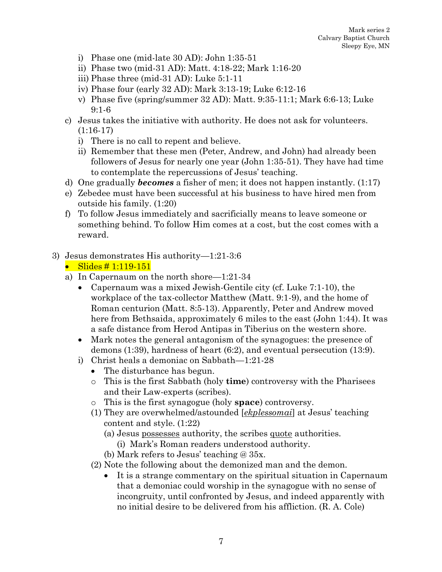- i) Phase one (mid-late 30 AD): John 1:35-51
- ii) Phase two (mid-31 AD): Matt. 4:18-22; Mark 1:16-20
- iii) Phase three (mid-31 AD): Luke 5:1-11
- iv) Phase four (early 32 AD): Mark 3:13-19; Luke 6:12-16
- v) Phase five (spring/summer 32 AD): Matt. 9:35-11:1; Mark 6:6-13; Luke 9:1-6
- c) Jesus takes the initiative with authority. He does not ask for volunteers. (1:16-17)
	- i) There is no call to repent and believe.
	- ii) Remember that these men (Peter, Andrew, and John) had already been followers of Jesus for nearly one year (John 1:35-51). They have had time to contemplate the repercussions of Jesus' teaching.
- d) One gradually *becomes* a fisher of men; it does not happen instantly. (1:17)
- e) Zebedee must have been successful at his business to have hired men from outside his family. (1:20)
- f) To follow Jesus immediately and sacrificially means to leave someone or something behind. To follow Him comes at a cost, but the cost comes with a reward.

### 3) Jesus demonstrates His authority—1:21-3:6

```
• Slides \# 1:119-151
```
- a) In Capernaum on the north shore—1:21-34
	- Capernaum was a mixed Jewish-Gentile city (cf. Luke 7:1-10), the workplace of the tax-collector Matthew (Matt. 9:1-9), and the home of Roman centurion (Matt. 8:5-13). Apparently, Peter and Andrew moved here from Bethsaida, approximately 6 miles to the east (John 1:44). It was a safe distance from Herod Antipas in Tiberius on the western shore.
	- Mark notes the general antagonism of the synagogues: the presence of demons (1:39), hardness of heart (6:2), and eventual persecution (13:9).
	- i) Christ heals a demoniac on Sabbath—1:21-28
		- The disturbance has begun.
		- o This is the first Sabbath (holy **time**) controversy with the Pharisees and their Law-experts (scribes).
		- o This is the first synagogue (holy **space**) controversy.
		- (1) They are overwhelmed/astounded [*ekplessomai*] at Jesus' teaching content and style. (1:22)
			- (a) Jesus possesses authority, the scribes quote authorities.
				- (i) Mark's Roman readers understood authority.
			- (b) Mark refers to Jesus' teaching @ 35x.
		- (2) Note the following about the demonized man and the demon.
			- It is a strange commentary on the spiritual situation in Capernaum that a demoniac could worship in the synagogue with no sense of incongruity, until confronted by Jesus, and indeed apparently with no initial desire to be delivered from his affliction. (R. A. Cole)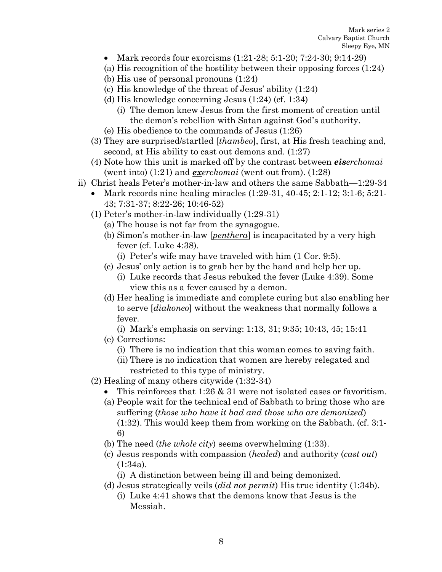- Mark records four exorcisms  $(1:21-28; 5:1-20; 7:24-30; 9:14-29)$
- (a) His recognition of the hostility between their opposing forces (1:24)
- (b) His use of personal pronouns (1:24)
- (c) His knowledge of the threat of Jesus' ability (1:24)
- (d) His knowledge concerning Jesus (1:24) (cf. 1:34)
	- (i) The demon knew Jesus from the first moment of creation until the demon's rebellion with Satan against God's authority.
- (e) His obedience to the commands of Jesus (1:26)
- (3) They are surprised/startled [*thambeo*], first, at His fresh teaching and, second, at His ability to cast out demons and. (1:27)
- (4) Note how this unit is marked off by the contrast between *eiserchomai* (went into) (1:21) and *exerchomai* (went out from). (1:28)
- ii) Christ heals Peter's mother-in-law and others the same Sabbath—1:29-34
	- Mark records nine healing miracles  $(1:29-31, 40-45; 2:1-12; 3:1-6; 5:21-1)$ 43; 7:31-37; 8:22-26; 10:46-52)
	- (1) Peter's mother-in-law individually (1:29-31)
		- (a) The house is not far from the synagogue.
		- (b) Simon's mother-in-law [*penthera*] is incapacitated by a very high fever (cf. Luke 4:38).
			- (i) Peter's wife may have traveled with him (1 Cor. 9:5).
		- (c) Jesus' only action is to grab her by the hand and help her up.
			- (i) Luke records that Jesus rebuked the fever (Luke 4:39). Some view this as a fever caused by a demon.
		- (d) Her healing is immediate and complete curing but also enabling her to serve [*diakoneo*] without the weakness that normally follows a fever.
			- (i) Mark's emphasis on serving: 1:13, 31; 9:35; 10:43, 45; 15:41
		- (e) Corrections:
			- (i) There is no indication that this woman comes to saving faith.
			- (ii) There is no indication that women are hereby relegated and restricted to this type of ministry.
	- (2) Healing of many others citywide (1:32-34)
		- This reinforces that  $1:26 \& 31$  were not isolated cases or favoritism.
		- (a) People wait for the technical end of Sabbath to bring those who are suffering (*those who have it bad and those who are demonized*) (1:32). This would keep them from working on the Sabbath. (cf. 3:1- 6)
		- (b) The need (*the whole city*) seems overwhelming (1:33).
		- (c) Jesus responds with compassion (*healed*) and authority (*cast out*) (1:34a).
			- (i) A distinction between being ill and being demonized.
		- (d) Jesus strategically veils (*did not permit*) His true identity (1:34b).
			- (i) Luke 4:41 shows that the demons know that Jesus is the Messiah.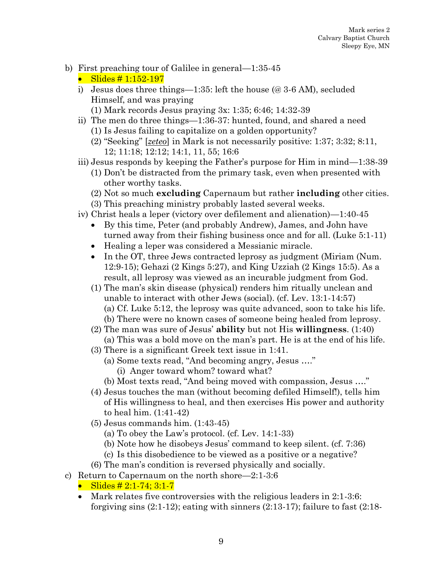- b) First preaching tour of Galilee in general—1:35-45
	- Slides # 1:152-197
	- i) Jesus does three things—1:35: left the house (@ 3-6 AM), secluded Himself, and was praying (1) Mark records Jesus praying 3x: 1:35; 6:46; 14:32-39
	- ii) The men do three things—1:36-37: hunted, found, and shared a need (1) Is Jesus failing to capitalize on a golden opportunity?
		- (2) "Seeking" [*zeteo*] in Mark is not necessarily positive: 1:37; 3:32; 8:11, 12; 11:18; 12:12; 14:1, 11, 55; 16:6
	- iii) Jesus responds by keeping the Father's purpose for Him in mind—1:38-39
		- (1) Don't be distracted from the primary task, even when presented with other worthy tasks.
		- (2) Not so much **excluding** Capernaum but rather **including** other cities.
		- (3) This preaching ministry probably lasted several weeks.
	- iv) Christ heals a leper (victory over defilement and alienation)—1:40-45
		- By this time, Peter (and probably Andrew), James, and John have turned away from their fishing business once and for all. (Luke 5:1-11)
		- Healing a leper was considered a Messianic miracle.
		- In the OT, three Jews contracted leprosy as judgment (Miriam (Num.) 12:9-15); Gehazi (2 Kings 5:27), and King Uzziah (2 Kings 15:5). As a result, all leprosy was viewed as an incurable judgment from God.
		- (1) The man's skin disease (physical) renders him ritually unclean and unable to interact with other Jews (social). (cf. Lev. 13:1-14:57) (a) Cf. Luke 5:12, the leprosy was quite advanced, soon to take his life. (b) There were no known cases of someone being healed from leprosy.
		- (2) The man was sure of Jesus' **ability** but not His **willingness**. (1:40) (a) This was a bold move on the man's part. He is at the end of his life.
		- (3) There is a significant Greek text issue in 1:41.
			- (a) Some texts read, "And becoming angry, Jesus …."
				- (i) Anger toward whom? toward what?
			- (b) Most texts read, "And being moved with compassion, Jesus …."
		- (4) Jesus touches the man (without becoming defiled Himself!), tells him of His willingness to heal, and then exercises His power and authority to heal him. (1:41-42)
		- (5) Jesus commands him. (1:43-45)
			- (a) To obey the Law's protocol. (cf. Lev. 14:1-33)
			- (b) Note how he disobeys Jesus' command to keep silent. (cf. 7:36)
			- (c) Is this disobedience to be viewed as a positive or a negative?
		- (6) The man's condition is reversed physically and socially.
- c) Return to Capernaum on the north shore—2:1-3:6
	- Slides  $\# 2:1-74; 3:1-7$
	- Mark relates five controversies with the religious leaders in 2:1-3:6: forgiving sins  $(2:1-12)$ ; eating with sinners  $(2:13-17)$ ; failure to fast  $(2:18-17)$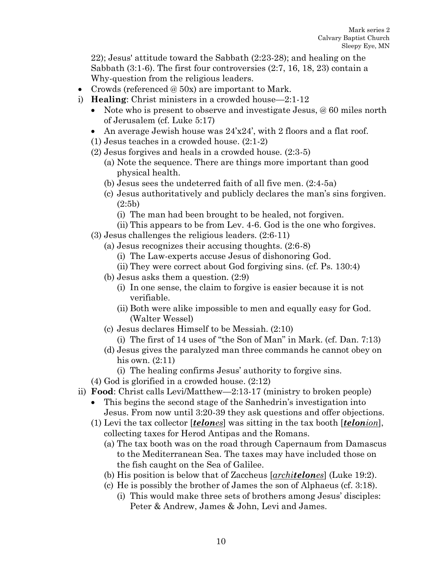22); Jesus' attitude toward the Sabbath (2:23-28); and healing on the Sabbath (3:1-6). The first four controversies (2:7, 16, 18, 23) contain a Why-question from the religious leaders.

- Crowds (referenced @ 50x) are important to Mark.
- i) **Healing**: Christ ministers in a crowded house—2:1-12
	- Note who is present to observe and investigate Jesus, @ 60 miles north of Jerusalem (cf. Luke 5:17)
	- An average Jewish house was  $24'x24'$ , with 2 floors and a flat roof.
	- (1) Jesus teaches in a crowded house. (2:1-2)
	- (2) Jesus forgives and heals in a crowded house. (2:3-5) (a) Note the sequence. There are things more important than good physical health.
		- (b) Jesus sees the undeterred faith of all five men. (2:4-5a)
		- (c) Jesus authoritatively and publicly declares the man's sins forgiven. (2:5b)
			- (i) The man had been brought to be healed, not forgiven.
			- (ii) This appears to be from Lev. 4-6. God is the one who forgives.
	- (3) Jesus challenges the religious leaders. (2:6-11)
		- (a) Jesus recognizes their accusing thoughts. (2:6-8)
			- (i) The Law-experts accuse Jesus of dishonoring God.
			- (ii) They were correct about God forgiving sins. (cf. Ps. 130:4)
		- (b) Jesus asks them a question. (2:9)
			- (i) In one sense, the claim to forgive is easier because it is not verifiable.
			- (ii) Both were alike impossible to men and equally easy for God. (Walter Wessel)
		- (c) Jesus declares Himself to be Messiah. (2:10)
			- (i) The first of 14 uses of "the Son of Man" in Mark. (cf. Dan. 7:13)
		- (d) Jesus gives the paralyzed man three commands he cannot obey on his own. (2:11)
			- (i) The healing confirms Jesus' authority to forgive sins.
	- (4) God is glorified in a crowded house. (2:12)
- ii) **Food**: Christ calls Levi/Matthew—2:13-17 (ministry to broken people)
	- This begins the second stage of the Sanhedrin's investigation into Jesus. From now until 3:20-39 they ask questions and offer objections.
	- (1) Levi the tax collector [*telones*] was sitting in the tax booth [*telonion*], collecting taxes for Herod Antipas and the Romans.
		- (a) The tax booth was on the road through Capernaum from Damascus to the Mediterranean Sea. The taxes may have included those on the fish caught on the Sea of Galilee.
		- (b) His position is below that of Zaccheus [*architelones*] (Luke 19:2).
		- (c) He is possibly the brother of James the son of Alphaeus (cf. 3:18).
			- (i) This would make three sets of brothers among Jesus' disciples: Peter & Andrew, James & John, Levi and James.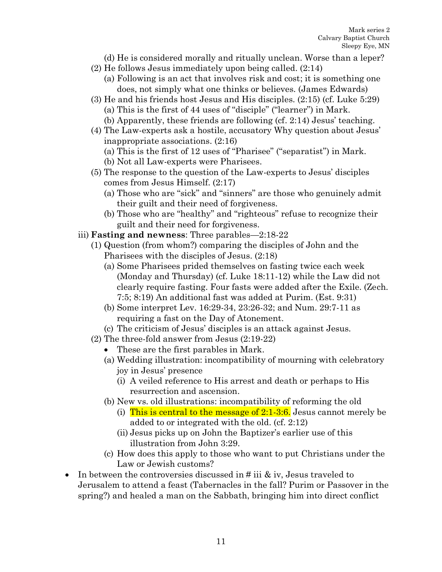- (d) He is considered morally and ritually unclean. Worse than a leper?
- (2) He follows Jesus immediately upon being called. (2:14)
	- (a) Following is an act that involves risk and cost; it is something one does, not simply what one thinks or believes. (James Edwards)
- (3) He and his friends host Jesus and His disciples. (2:15) (cf. Luke 5:29) (a) This is the first of 44 uses of "disciple" ("learner") in Mark.
	- (b) Apparently, these friends are following (cf. 2:14) Jesus' teaching.
- (4) The Law-experts ask a hostile, accusatory Why question about Jesus' inappropriate associations. (2:16)
	- (a) This is the first of 12 uses of "Pharisee" ("separatist") in Mark.
	- (b) Not all Law-experts were Pharisees.
- (5) The response to the question of the Law-experts to Jesus' disciples comes from Jesus Himself. (2:17)
	- (a) Those who are "sick" and "sinners" are those who genuinely admit their guilt and their need of forgiveness.
	- (b) Those who are "healthy" and "righteous" refuse to recognize their guilt and their need for forgiveness.
- iii) **Fasting and newness**: Three parables—2:18-22
	- (1) Question (from whom?) comparing the disciples of John and the Pharisees with the disciples of Jesus. (2:18)
		- (a) Some Pharisees prided themselves on fasting twice each week (Monday and Thursday) (cf. Luke 18:11-12) while the Law did not clearly require fasting. Four fasts were added after the Exile. (Zech. 7:5; 8:19) An additional fast was added at Purim. (Est. 9:31)
		- (b) Some interpret Lev. 16:29-34, 23:26-32; and Num. 29:7-11 as requiring a fast on the Day of Atonement.
		- (c) The criticism of Jesus' disciples is an attack against Jesus.
	- (2) The three-fold answer from Jesus (2:19-22)
		- These are the first parables in Mark.
		- (a) Wedding illustration: incompatibility of mourning with celebratory joy in Jesus' presence
			- (i) A veiled reference to His arrest and death or perhaps to His resurrection and ascension.
		- (b) New vs. old illustrations: incompatibility of reforming the old
			- (i) This is central to the message of  $2:1-3:6$ . Jesus cannot merely be added to or integrated with the old. (cf. 2:12)
			- (ii) Jesus picks up on John the Baptizer's earlier use of this illustration from John 3:29.
		- (c) How does this apply to those who want to put Christians under the Law or Jewish customs?
- In between the controversies discussed in  $\#$  iii  $\&$  iv, Jesus traveled to Jerusalem to attend a feast (Tabernacles in the fall? Purim or Passover in the spring?) and healed a man on the Sabbath, bringing him into direct conflict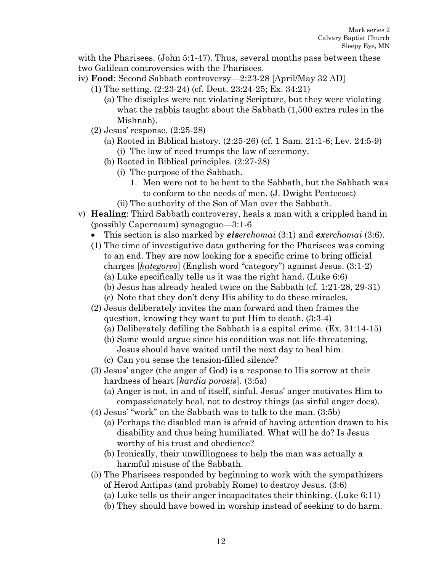with the Pharisees. (John 5:1-47). Thus, several months pass between these two Galilean controversies with the Pharisees.

- iv) **Food**: Second Sabbath controversy—2:23-28 [April/May 32 AD]
	- (1) The setting. (2:23-24) (cf. Deut. 23:24-25; Ex. 34:21)
		- (a) The disciples were not violating Scripture, but they were violating what the rabbis taught about the Sabbath  $(1,500)$  extra rules in the Mishnah).
	- (2) Jesus' response. (2:25-28)
		- (a) Rooted in Biblical history. (2:25-26) (cf. 1 Sam. 21:1-6; Lev. 24:5-9) (i) The law of need trumps the law of ceremony.
		- (b) Rooted in Biblical principles. (2:27-28)
			- (i) The purpose of the Sabbath.
				- 1. Men were not to be bent to the Sabbath, but the Sabbath was to conform to the needs of men. (J. Dwight Pentecost)
			- (ii) The authority of the Son of Man over the Sabbath.
- v) **Healing**: Third Sabbath controversy, heals a man with a crippled hand in (possibly Capernaum) synagogue—3:1-6
	- This section is also marked by *eiserchomai* (3:1) and *exerchomai* (3:6).
	- (1) The time of investigative data gathering for the Pharisees was coming to an end. They are now looking for a specific crime to bring official charges [*kategoreo*] (English word "category") against Jesus. (3:1-2) (a) Luke specifically tells us it was the right hand. (Luke 6:6)
		- (b) Jesus has already healed twice on the Sabbath (cf. 1:21-28, 29-31)
		- (c) Note that they don't deny His ability to do these miracles.
	- (2) Jesus deliberately invites the man forward and then frames the question, knowing they want to put Him to death. (3:3-4)
		- (a) Deliberately defiling the Sabbath is a capital crime. (Ex. 31:14-15)
		- (b) Some would argue since his condition was not life-threatening, Jesus should have waited until the next day to heal him.
		- (c) Can you sense the tension-filled silence?
	- (3) Jesus' anger (the anger of God) is a response to His sorrow at their hardness of heart [*kardia porosis*]. (3:5a)
		- (a) Anger is not, in and of itself, sinful. Jesus' anger motivates Him to compassionately heal, not to destroy things (as sinful anger does).
	- (4) Jesus' "work" on the Sabbath was to talk to the man. (3:5b)
		- (a) Perhaps the disabled man is afraid of having attention drawn to his disability and thus being humiliated. What will he do? Is Jesus worthy of his trust and obedience?
		- (b) Ironically, their unwillingness to help the man was actually a harmful misuse of the Sabbath.
	- (5) The Pharisees responded by beginning to work with the sympathizers of Herod Antipas (and probably Rome) to destroy Jesus. (3:6)
		- (a) Luke tells us their anger incapacitates their thinking. (Luke 6:11)
		- (b) They should have bowed in worship instead of seeking to do harm.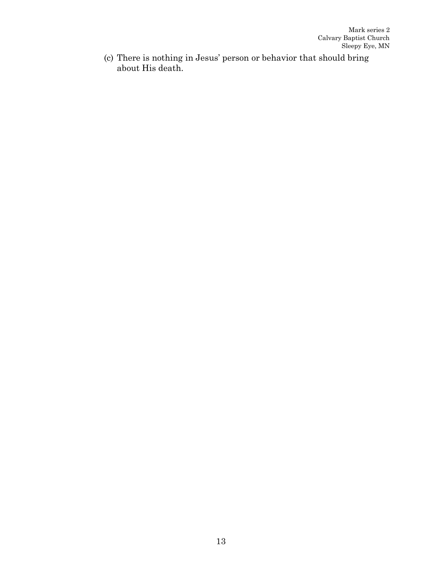(c) There is nothing in Jesus' person or behavior that should bring about His death.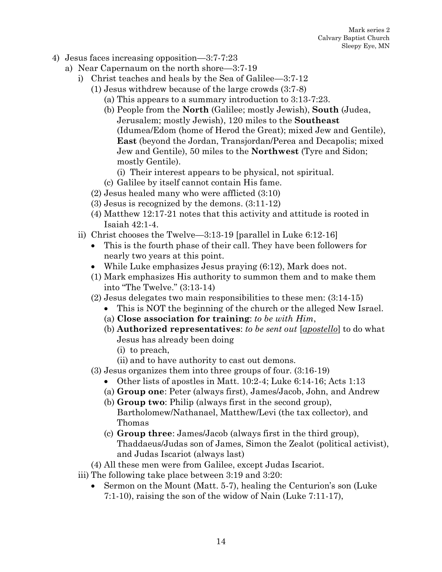- 4) Jesus faces increasing opposition—3:7-7:23
	- a) Near Capernaum on the north shore—3:7-19
		- i) Christ teaches and heals by the Sea of Galilee—3:7-12
			- (1) Jesus withdrew because of the large crowds (3:7-8)
				- (a) This appears to a summary introduction to 3:13-7:23.
				- (b) People from the **North** (Galilee; mostly Jewish), **South** (Judea, Jerusalem; mostly Jewish), 120 miles to the **Southeast** (Idumea/Edom (home of Herod the Great); mixed Jew and Gentile), **East** (beyond the Jordan, Transjordan/Perea and Decapolis; mixed Jew and Gentile), 50 miles to the **Northwest** (Tyre and Sidon; mostly Gentile).
					- (i) Their interest appears to be physical, not spiritual.
				- (c) Galilee by itself cannot contain His fame.
			- (2) Jesus healed many who were afflicted (3:10)
			- (3) Jesus is recognized by the demons. (3:11-12)
			- (4) Matthew 12:17-21 notes that this activity and attitude is rooted in Isaiah 42:1-4.
		- ii) Christ chooses the Twelve—3:13-19 [parallel in Luke 6:12-16]
			- This is the fourth phase of their call. They have been followers for nearly two years at this point.
			- While Luke emphasizes Jesus praying (6:12), Mark does not.
			- (1) Mark emphasizes His authority to summon them and to make them into "The Twelve." (3:13-14)
			- (2) Jesus delegates two main responsibilities to these men: (3:14-15)
				- This is NOT the beginning of the church or the alleged New Israel.
				- (a) **Close association for training**: *to be with Him*,
				- (b) **Authorized representatives**: *to be sent out* [*apostello*] to do what Jesus has already been doing
					- (i) to preach,
					- (ii) and to have authority to cast out demons.
			- (3) Jesus organizes them into three groups of four. (3:16-19)
				- Other lists of apostles in Matt. 10:2-4; Luke 6:14-16; Acts 1:13
				- (a) **Group one**: Peter (always first), James/Jacob, John, and Andrew
				- (b) **Group two**: Philip (always first in the second group), Bartholomew/Nathanael, Matthew/Levi (the tax collector), and Thomas
				- (c) **Group three**: James/Jacob (always first in the third group), Thaddaeus/Judas son of James, Simon the Zealot (political activist), and Judas Iscariot (always last)
			- (4) All these men were from Galilee, except Judas Iscariot.
		- iii) The following take place between 3:19 and 3:20:
			- Sermon on the Mount (Matt. 5-7), healing the Centurion's son (Luke 7:1-10), raising the son of the widow of Nain (Luke 7:11-17),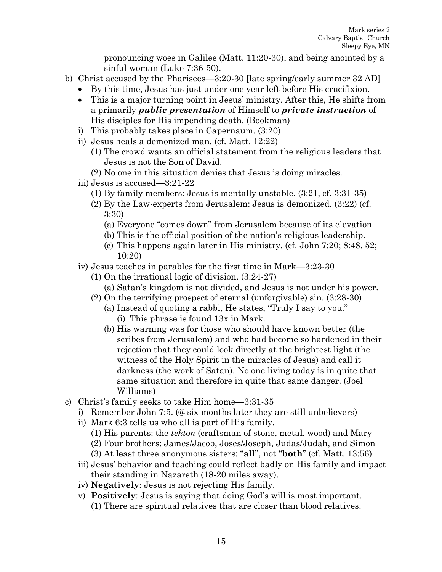pronouncing woes in Galilee (Matt. 11:20-30), and being anointed by a sinful woman (Luke 7:36-50).

- b) Christ accused by the Pharisees—3:20-30 [late spring/early summer 32 AD]
	- By this time, Jesus has just under one year left before His crucifixion.
	- This is a major turning point in Jesus' ministry. After this, He shifts from a primarily *public presentation* of Himself to *private instruction* of His disciples for His impending death. (Bookman)
	- i) This probably takes place in Capernaum. (3:20)
	- ii) Jesus heals a demonized man. (cf. Matt. 12:22)
		- (1) The crowd wants an official statement from the religious leaders that Jesus is not the Son of David.
		- (2) No one in this situation denies that Jesus is doing miracles.
	- iii) Jesus is accused—3:21-22
		- (1) By family members: Jesus is mentally unstable. (3:21, cf. 3:31-35)
		- (2) By the Law-experts from Jerusalem: Jesus is demonized. (3:22) (cf. 3:30)
			- (a) Everyone "comes down" from Jerusalem because of its elevation.
			- (b) This is the official position of the nation's religious leadership.
			- (c) This happens again later in His ministry. (cf. John 7:20; 8:48. 52; 10:20)
	- iv) Jesus teaches in parables for the first time in Mark—3:23-30
		- (1) On the irrational logic of division. (3:24-27)
			- (a) Satan's kingdom is not divided, and Jesus is not under his power.
		- (2) On the terrifying prospect of eternal (unforgivable) sin. (3:28-30)
			- (a) Instead of quoting a rabbi, He states, "Truly I say to you." (i) This phrase is found 13x in Mark.
			- (b) His warning was for those who should have known better (the scribes from Jerusalem) and who had become so hardened in their rejection that they could look directly at the brightest light (the witness of the Holy Spirit in the miracles of Jesus) and call it darkness (the work of Satan). No one living today is in quite that same situation and therefore in quite that same danger. (Joel Williams)
- c) Christ's family seeks to take Him home—3:31-35
	- i) Remember John 7:5. (@ six months later they are still unbelievers)
	- ii) Mark 6:3 tells us who all is part of His family.
		- (1) His parents: the *tekton* (craftsman of stone, metal, wood) and Mary
		- (2) Four brothers: James/Jacob, Joses/Joseph, Judas/Judah, and Simon
		- (3) At least three anonymous sisters: "**all**", not "**both**" (cf. Matt. 13:56)
	- iii) Jesus' behavior and teaching could reflect badly on His family and impact their standing in Nazareth (18-20 miles away).
	- iv) **Negatively**: Jesus is not rejecting His family.
	- v) **Positively**: Jesus is saying that doing God's will is most important.
		- (1) There are spiritual relatives that are closer than blood relatives.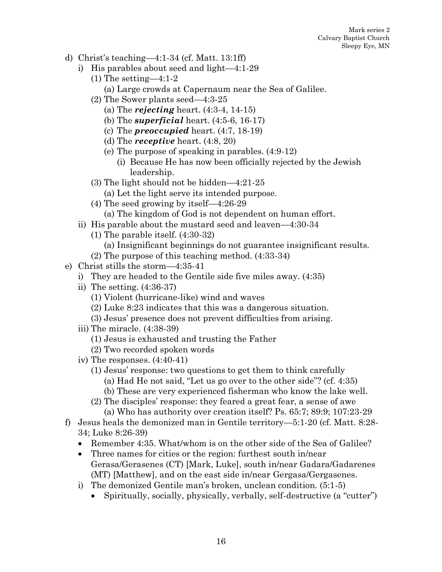- d) Christ's teaching—4:1-34 (cf. Matt. 13:1ff)
	- i) His parables about seed and light—4:1-29
		- (1) The setting—4:1-2
			- (a) Large crowds at Capernaum near the Sea of Galilee.
		- (2) The Sower plants seed—4:3-25
			- (a) The *rejecting* heart. (4:3-4, 14-15)
			- (b) The *superficial* heart. (4:5-6, 16-17)
			- (c) The *preoccupied* heart. (4:7, 18-19)
			- (d) The *receptive* heart. (4:8, 20)
			- (e) The purpose of speaking in parables. (4:9-12)
				- (i) Because He has now been officially rejected by the Jewish leadership.
		- (3) The light should not be hidden—4:21-25
			- (a) Let the light serve its intended purpose.
		- (4) The seed growing by itself—4:26-29
			- (a) The kingdom of God is not dependent on human effort.
	- ii) His parable about the mustard seed and leaven—4:30-34
		- (1) The parable itself. (4:30-32)
			- (a) Insignificant beginnings do not guarantee insignificant results.
		- (2) The purpose of this teaching method. (4:33-34)
- e) Christ stills the storm—4:35-41
	- i) They are headed to the Gentile side five miles away. (4:35)
	- ii) The setting. (4:36-37)
		- (1) Violent (hurricane-like) wind and waves
		- (2) Luke 8:23 indicates that this was a dangerous situation.
		- (3) Jesus' presence does not prevent difficulties from arising.
	- iii) The miracle. (4:38-39)
		- (1) Jesus is exhausted and trusting the Father
		- (2) Two recorded spoken words
	- iv) The responses. (4:40-41)
		- (1) Jesus' response: two questions to get them to think carefully
			- (a) Had He not said, "Let us go over to the other side"? (cf. 4:35)
			- (b) These are very experienced fisherman who know the lake well.
		- (2) The disciples' response: they feared a great fear, a sense of awe (a) Who has authority over creation itself? Ps. 65:7; 89:9; 107:23-29
- f) Jesus heals the demonized man in Gentile territory—5:1-20 (cf. Matt. 8:28- 34; Luke 8:26-39)
	- Remember 4:35. What/whom is on the other side of the Sea of Galilee?
	- Three names for cities or the region: furthest south in/near Gerasa/Gerasenes (CT) [Mark, Luke], south in/near Gadara/Gadarenes (MT) [Matthew], and on the east side in/near Gergasa/Gergasenes.
	- i) The demonized Gentile man's broken, unclean condition. (5:1-5)
		- Spiritually, socially, physically, verbally, self-destructive (a "cutter")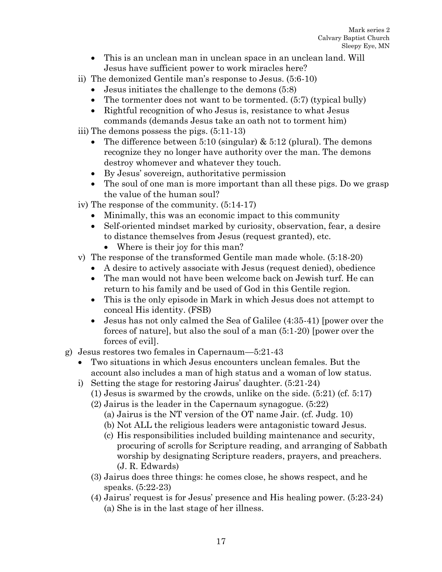- This is an unclean man in unclean space in an unclean land. Will Jesus have sufficient power to work miracles here?
- ii) The demonized Gentile man's response to Jesus. (5:6-10)
	- Jesus initiates the challenge to the demons (5:8)
	- The tormenter does not want to be tormented. (5:7) (typical bully)
	- Rightful recognition of who Jesus is, resistance to what Jesus commands (demands Jesus take an oath not to torment him)
- iii) The demons possess the pigs. (5:11-13)
	- The difference between 5:10 (singular)  $& 5:12$  (plural). The demons recognize they no longer have authority over the man. The demons destroy whomever and whatever they touch.
	- By Jesus' sovereign, authoritative permission
	- The soul of one man is more important than all these pigs. Do we grasp the value of the human soul?
- iv) The response of the community. (5:14-17)
	- Minimally, this was an economic impact to this community
	- Self-oriented mindset marked by curiosity, observation, fear, a desire to distance themselves from Jesus (request granted), etc.
		- Where is their joy for this man?
- v) The response of the transformed Gentile man made whole. (5:18-20)
	- A desire to actively associate with Jesus (request denied), obedience
	- The man would not have been welcome back on Jewish turf. He can return to his family and be used of God in this Gentile region.
	- This is the only episode in Mark in which Jesus does not attempt to conceal His identity. (FSB)
	- Jesus has not only calmed the Sea of Galilee (4:35-41) [power over the forces of nature], but also the soul of a man (5:1-20) [power over the forces of evil].
- g) Jesus restores two females in Capernaum—5:21-43
	- Two situations in which Jesus encounters unclean females. But the account also includes a man of high status and a woman of low status.
	- i) Setting the stage for restoring Jairus' daughter. (5:21-24)
		- $(1)$  Jesus is swarmed by the crowds, unlike on the side.  $(5:21)$  (cf. 5:17)
		- (2) Jairus is the leader in the Capernaum synagogue. (5:22)
			- (a) Jairus is the NT version of the OT name Jair. (cf. Judg. 10)
			- (b) Not ALL the religious leaders were antagonistic toward Jesus.
			- (c) His responsibilities included building maintenance and security, procuring of scrolls for Scripture reading, and arranging of Sabbath worship by designating Scripture readers, prayers, and preachers. (J. R. Edwards)
		- (3) Jairus does three things: he comes close, he shows respect, and he speaks. (5:22-23)
		- (4) Jairus' request is for Jesus' presence and His healing power. (5:23-24) (a) She is in the last stage of her illness.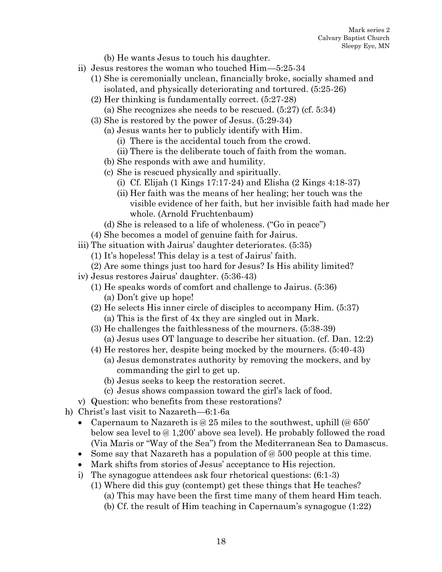(b) He wants Jesus to touch his daughter.

- ii) Jesus restores the woman who touched Him—5:25-34
	- (1) She is ceremonially unclean, financially broke, socially shamed and isolated, and physically deteriorating and tortured. (5:25-26)
		- (2) Her thinking is fundamentally correct. (5:27-28)
			- (a) She recognizes she needs to be rescued. (5:27) (cf. 5:34)
		- (3) She is restored by the power of Jesus. (5:29-34)
			- (a) Jesus wants her to publicly identify with Him.
				- (i) There is the accidental touch from the crowd.
				- (ii) There is the deliberate touch of faith from the woman.
			- (b) She responds with awe and humility.
			- (c) She is rescued physically and spiritually.
				- (i) Cf. Elijah (1 Kings 17:17-24) and Elisha (2 Kings 4:18-37)
				- (ii) Her faith was the means of her healing; her touch was the visible evidence of her faith, but her invisible faith had made her whole. (Arnold Fruchtenbaum)
			- (d) She is released to a life of wholeness. ("Go in peace")
		- (4) She becomes a model of genuine faith for Jairus.
- iii) The situation with Jairus' daughter deteriorates. (5:35)
	- (1) It's hopeless! This delay is a test of Jairus' faith.
	- (2) Are some things just too hard for Jesus? Is His ability limited?
- iv) Jesus restores Jairus' daughter. (5:36-43)
	- (1) He speaks words of comfort and challenge to Jairus. (5:36) (a) Don't give up hope!
	- (2) He selects His inner circle of disciples to accompany Him. (5:37) (a) This is the first of 4x they are singled out in Mark.
	- (3) He challenges the faithlessness of the mourners. (5:38-39) (a) Jesus uses OT language to describe her situation. (cf. Dan. 12:2)
	- (4) He restores her, despite being mocked by the mourners. (5:40-43)
		- (a) Jesus demonstrates authority by removing the mockers, and by commanding the girl to get up.
		- (b) Jesus seeks to keep the restoration secret.
		- (c) Jesus shows compassion toward the girl's lack of food.
- v) Question: who benefits from these restorations?
- h) Christ's last visit to Nazareth—6:1-6a
	- Capernaum to Nazareth is @ 25 miles to the southwest, uphill (@ 650') below sea level to @ 1,200' above sea level). He probably followed the road (Via Maris or "Way of the Sea") from the Mediterranean Sea to Damascus.
	- Some say that Nazareth has a population of  $\mathcal{O}(600)$  people at this time.
	- Mark shifts from stories of Jesus' acceptance to His rejection.
	- i) The synagogue attendees ask four rhetorical questions: (6:1-3)
		- (1) Where did this guy (contempt) get these things that He teaches?
			- (a) This may have been the first time many of them heard Him teach.
			- (b) Cf. the result of Him teaching in Capernaum's synagogue (1:22)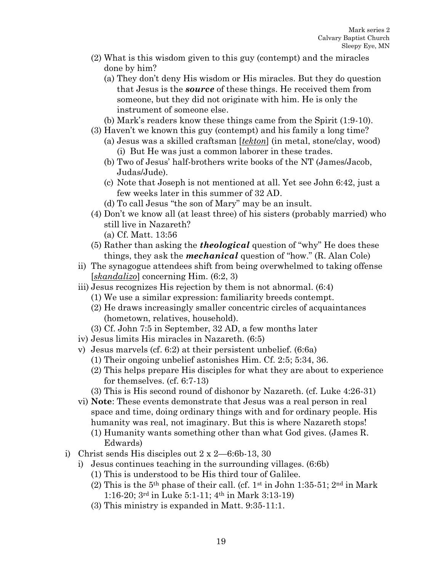- (2) What is this wisdom given to this guy (contempt) and the miracles done by him?
	- (a) They don't deny His wisdom or His miracles. But they do question that Jesus is the *source* of these things. He received them from someone, but they did not originate with him. He is only the instrument of someone else.
	- (b) Mark's readers know these things came from the Spirit (1:9-10).
- (3) Haven't we known this guy (contempt) and his family a long time?
	- (a) Jesus was a skilled craftsman [*tekton*] (in metal, stone/clay, wood) (i) But He was just a common laborer in these trades.
	- (b) Two of Jesus' half-brothers write books of the NT (James/Jacob, Judas/Jude).
	- (c) Note that Joseph is not mentioned at all. Yet see John 6:42, just a few weeks later in this summer of 32 AD.
	- (d) To call Jesus "the son of Mary" may be an insult.
- (4) Don't we know all (at least three) of his sisters (probably married) who still live in Nazareth?
	- (a) Cf. Matt. 13:56
- (5) Rather than asking the *theological* question of "why" He does these things, they ask the *mechanical* question of "how." (R. Alan Cole)
- ii) The synagogue attendees shift from being overwhelmed to taking offense [*skandalizo*] concerning Him. (6:2, 3)
- iii) Jesus recognizes His rejection by them is not abnormal. (6:4)
	- (1) We use a similar expression: familiarity breeds contempt.
	- (2) He draws increasingly smaller concentric circles of acquaintances (hometown, relatives, household).
	- (3) Cf. John 7:5 in September, 32 AD, a few months later
- iv) Jesus limits His miracles in Nazareth. (6:5)
- v) Jesus marvels (cf. 6:2) at their persistent unbelief. (6:6a)
	- (1) Their ongoing unbelief astonishes Him. Cf. 2:5; 5:34, 36.
	- (2) This helps prepare His disciples for what they are about to experience for themselves. (cf. 6:7-13)
	- (3) This is His second round of dishonor by Nazareth. (cf. Luke 4:26-31)
- vi) **Note**: These events demonstrate that Jesus was a real person in real space and time, doing ordinary things with and for ordinary people. His humanity was real, not imaginary. But this is where Nazareth stops!
	- (1) Humanity wants something other than what God gives. (James R. Edwards)
- i) Christ sends His disciples out 2 x 2—6:6b-13, 30
	- i) Jesus continues teaching in the surrounding villages. (6:6b)
		- (1) This is understood to be His third tour of Galilee.
		- (2) This is the 5<sup>th</sup> phase of their call. (cf. 1<sup>st</sup> in John 1:35-51; 2<sup>nd</sup> in Mark 1:16-20; 3rd in Luke 5:1-11; 4th in Mark 3:13-19)
		- (3) This ministry is expanded in Matt. 9:35-11:1.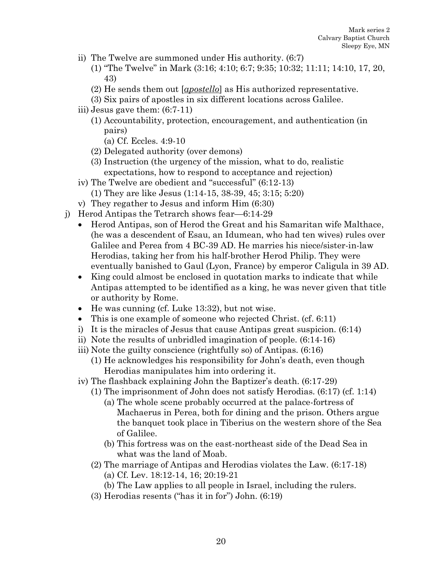- ii) The Twelve are summoned under His authority. (6:7)
	- (1) "The Twelve" in Mark (3:16; 4:10; 6:7; 9:35; 10:32; 11:11; 14:10, 17, 20, 43)
	- (2) He sends them out [*apostello*] as His authorized representative.
	- (3) Six pairs of apostles in six different locations across Galilee.
- iii) Jesus gave them: (6:7-11)
	- (1) Accountability, protection, encouragement, and authentication (in pairs)
		- (a) Cf. Eccles. 4:9-10
	- (2) Delegated authority (over demons)
	- (3) Instruction (the urgency of the mission, what to do, realistic expectations, how to respond to acceptance and rejection)
- iv) The Twelve are obedient and "successful" (6:12-13)
	- (1) They are like Jesus (1:14-15, 38-39, 45; 3:15; 5:20)
- v) They regather to Jesus and inform Him (6:30)
- j) Herod Antipas the Tetrarch shows fear—6:14-29
	- Herod Antipas, son of Herod the Great and his Samaritan wife Malthace, (he was a descendent of Esau, an Idumean, who had ten wives) rules over Galilee and Perea from 4 BC-39 AD. He marries his niece/sister-in-law Herodias, taking her from his half-brother Herod Philip. They were eventually banished to Gaul (Lyon, France) by emperor Caligula in 39 AD.
	- King could almost be enclosed in quotation marks to indicate that while Antipas attempted to be identified as a king, he was never given that title or authority by Rome.
	- He was cunning (cf. Luke 13:32), but not wise.
	- This is one example of someone who rejected Christ. (cf. 6:11)
	- i) It is the miracles of Jesus that cause Antipas great suspicion. (6:14)
	- ii) Note the results of unbridled imagination of people. (6:14-16)
	- iii) Note the guilty conscience (rightfully so) of Antipas. (6:16)
		- (1) He acknowledges his responsibility for John's death, even though Herodias manipulates him into ordering it.
	- iv) The flashback explaining John the Baptizer's death. (6:17-29)
		- (1) The imprisonment of John does not satisfy Herodias. (6:17) (cf. 1:14)
			- (a) The whole scene probably occurred at the palace-fortress of Machaerus in Perea, both for dining and the prison. Others argue the banquet took place in Tiberius on the western shore of the Sea of Galilee.
			- (b) This fortress was on the east-northeast side of the Dead Sea in what was the land of Moab.
		- (2) The marriage of Antipas and Herodias violates the Law. (6:17-18)
			- (a) Cf. Lev. 18:12-14, 16; 20:19-21
			- (b) The Law applies to all people in Israel, including the rulers.
		- (3) Herodias resents ("has it in for") John. (6:19)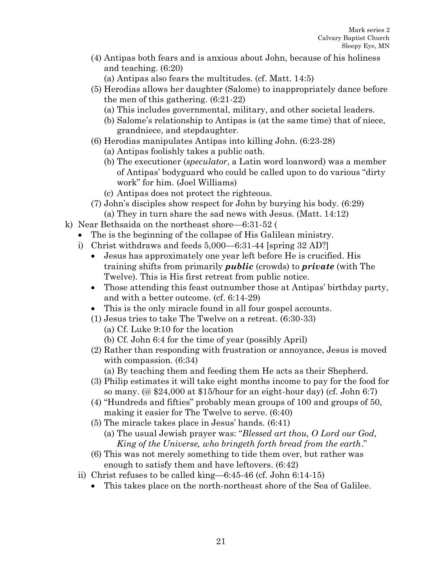(4) Antipas both fears and is anxious about John, because of his holiness and teaching. (6:20)

(a) Antipas also fears the multitudes. (cf. Matt. 14:5)

- (5) Herodias allows her daughter (Salome) to inappropriately dance before the men of this gathering. (6:21-22)
	- (a) This includes governmental, military, and other societal leaders.
	- (b) Salome's relationship to Antipas is (at the same time) that of niece, grandniece, and stepdaughter.
- (6) Herodias manipulates Antipas into killing John. (6:23-28)
	- (a) Antipas foolishly takes a public oath.
	- (b) The executioner (*speculator*, a Latin word loanword) was a member of Antipas' bodyguard who could be called upon to do various "dirty work" for him. (Joel Williams)
	- (c) Antipas does not protect the righteous.
- (7) John's disciples show respect for John by burying his body. (6:29) (a) They in turn share the sad news with Jesus. (Matt. 14:12)
- k) Near Bethsaida on the northeast shore—6:31-52 (
	- The is the beginning of the collapse of His Galilean ministry.
		- i) Christ withdraws and feeds 5,000—6:31-44 [spring 32 AD?]
			- Jesus has approximately one year left before He is crucified. His training shifts from primarily *public* (crowds) to *private* (with The Twelve). This is His first retreat from public notice.
			- Those attending this feast outnumber those at Antipas' birthday party, and with a better outcome. (cf. 6:14-29)
			- This is the only miracle found in all four gospel accounts.
			- (1) Jesus tries to take The Twelve on a retreat. (6:30-33)
				- (a) Cf. Luke 9:10 for the location (b) Cf. John 6:4 for the time of year (possibly April)
			- (2) Rather than responding with frustration or annoyance, Jesus is moved with compassion. (6:34)
				- (a) By teaching them and feeding them He acts as their Shepherd.
			- (3) Philip estimates it will take eight months income to pay for the food for so many. (@ \$24,000 at \$15/hour for an eight-hour day) (cf. John 6:7)
			- (4) "Hundreds and fifties" probably mean groups of 100 and groups of 50, making it easier for The Twelve to serve. (6:40)
			- (5) The miracle takes place in Jesus' hands. (6:41)
				- (a) The usual Jewish prayer was: "*Blessed art thou, O Lord our God, King of the Universe, who bringeth forth bread from the earth*."
			- (6) This was not merely something to tide them over, but rather was enough to satisfy them and have leftovers. (6:42)
		- ii) Christ refuses to be called king—6:45-46 (cf. John 6:14-15)
			- This takes place on the north-northeast shore of the Sea of Galilee.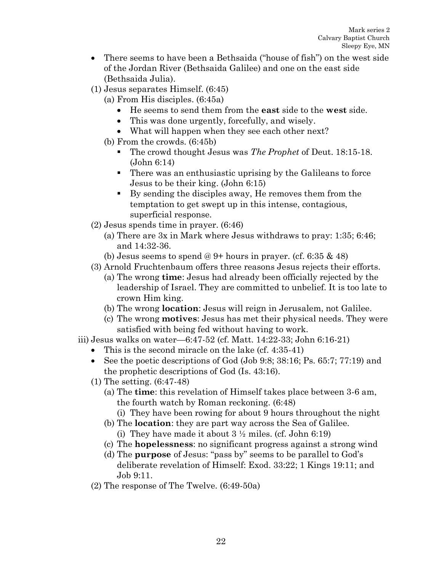- There seems to have been a Bethsaida ("house of fish") on the west side of the Jordan River (Bethsaida Galilee) and one on the east side (Bethsaida Julia).
- (1) Jesus separates Himself. (6:45)
	- (a) From His disciples. (6:45a)
		- He seems to send them from the **east** side to the **west** side.
		- This was done urgently, forcefully, and wisely.
		- What will happen when they see each other next?
	- (b) From the crowds. (6:45b)
		- The crowd thought Jesus was *The Prophet* of Deut. 18:15-18. (John 6:14)
		- There was an enthusiastic uprising by the Galileans to force Jesus to be their king. (John 6:15)
		- By sending the disciples away, He removes them from the temptation to get swept up in this intense, contagious, superficial response.
- (2) Jesus spends time in prayer. (6:46)
	- (a) There are 3x in Mark where Jesus withdraws to pray: 1:35; 6:46; and 14:32-36.
	- (b) Jesus seems to spend @ 9+ hours in prayer. (cf. 6:35  $\&$  48)
- (3) Arnold Fruchtenbaum offers three reasons Jesus rejects their efforts.
	- (a) The wrong **time**: Jesus had already been officially rejected by the leadership of Israel. They are committed to unbelief. It is too late to crown Him king.
	- (b) The wrong **location**: Jesus will reign in Jerusalem, not Galilee.
	- (c) The wrong **motives**: Jesus has met their physical needs. They were satisfied with being fed without having to work.
- iii) Jesus walks on water—6:47-52 (cf. Matt. 14:22-33; John 6:16-21)
	- This is the second miracle on the lake (cf. 4:35-41)
	- See the poetic descriptions of God (Job 9:8; 38:16; Ps. 65:7; 77:19) and the prophetic descriptions of God (Is. 43:16).
	- (1) The setting. (6:47-48)
		- (a) The **time**: this revelation of Himself takes place between 3-6 am, the fourth watch by Roman reckoning. (6:48)
			- (i) They have been rowing for about 9 hours throughout the night
		- (b) The **location**: they are part way across the Sea of Galilee.
			- (i) They have made it about  $3 \frac{1}{2}$  miles. (cf. John 6:19)
		- (c) The **hopelessness**: no significant progress against a strong wind
		- (d) The **purpose** of Jesus: "pass by" seems to be parallel to God's deliberate revelation of Himself: Exod. 33:22; 1 Kings 19:11; and Job 9:11.
	- (2) The response of The Twelve. (6:49-50a)